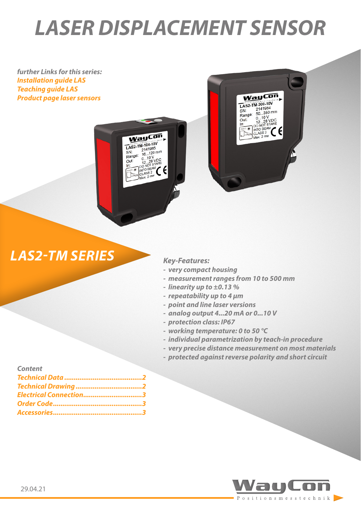# *LASER DISPLACEMENT SENSOR*

WayCon LAS2-TM-104-10V  $2141985$  $^{2141900}_{16...120}$  mm

 $10...10V$ 

 $ss2$ 

 $\epsilon$ 

 $\frac{1}{4}$ 

 $SN:$ Range:

Out:

In

*further Links for this series: [Installation guide LAS](https://www.waycon.biz/fileadmin/laser-sensors/Laser-Displacement-Sensor-LAS-Installation-Guide.pdf) [Teaching guide LAS](https://www.waycon.biz/fileadmin/laser-sensors/Laser-Displacement-Sensor-LAS-Teaching-Guide.pdf) [Product page laser sensors](https://www.waycon.biz/products/laser-sensors/)*



## *LAS2-TM SERIES Key-Features:*

- *- very compact housing*
- *- measurement ranges from 10 to 500 mm*
- *- linearity up to ±0.13 %*
- *- repeatability up to 4 μm*
- *- point and line laser versions*
- *- analog output 4...20 mA or 0...10 V*
- *- protection class: IP67*
- *- working temperature: 0 to 50 °C*
- *- individual parametrization by teach-in procedure*
- *- very precise distance measurement on most materials*
- *- protected against reverse polarity and short circuit*

### *Content [Technical Data .........................................2](#page-1-0) [Technical Drawing ...................................2](#page-1-0)*

| Electrical Connection3 |  |
|------------------------|--|
|                        |  |
|                        |  |

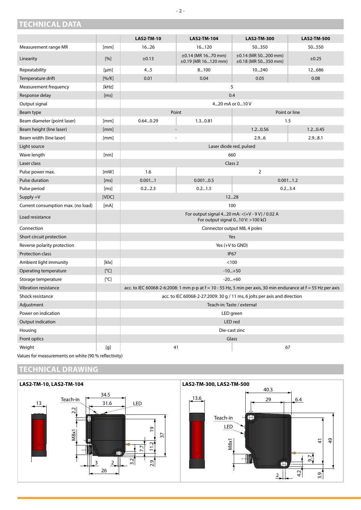|                                    |                                                                                                                                                                                                                                                                                                                           | <b>LAS2-TM-10</b>                                                                                                  | <b>LAS2-TM-104</b>                        | <b>LAS2-TM-300</b>                              | <b>LAS2-TM-500</b> |  |
|------------------------------------|---------------------------------------------------------------------------------------------------------------------------------------------------------------------------------------------------------------------------------------------------------------------------------------------------------------------------|--------------------------------------------------------------------------------------------------------------------|-------------------------------------------|-------------------------------------------------|--------------------|--|
| Measurement range MR               | [mm]                                                                                                                                                                                                                                                                                                                      | 1626                                                                                                               | 16120                                     | 50350                                           | 50550              |  |
| Linearity                          | [%]                                                                                                                                                                                                                                                                                                                       | ±0.13                                                                                                              | ±0.14 (MR 1670 mm)<br>±0.19 (MR 16120 mm) | $\pm 0.14$ (MR 50200 mm)<br>±0.18 (MR 50350 mm) | $\pm 0.25$         |  |
| Repeatability                      | [µm]                                                                                                                                                                                                                                                                                                                      | 45                                                                                                                 | 8100                                      | 10240                                           | 12686              |  |
| Temperature drift                  | [%K]                                                                                                                                                                                                                                                                                                                      | 0.01                                                                                                               | 0.04                                      | 0.05                                            | 0.08               |  |
| Measurement frequency              | [kHz]                                                                                                                                                                                                                                                                                                                     | 5                                                                                                                  |                                           |                                                 |                    |  |
| Response delay                     | [ms]                                                                                                                                                                                                                                                                                                                      | 0.4                                                                                                                |                                           |                                                 |                    |  |
| Output signal                      |                                                                                                                                                                                                                                                                                                                           | 420 mA or 010 V                                                                                                    |                                           |                                                 |                    |  |
| Beam type                          |                                                                                                                                                                                                                                                                                                                           | Point                                                                                                              |                                           | Point or line                                   |                    |  |
| Beam diameter (point laser)        | [mm]                                                                                                                                                                                                                                                                                                                      | 0.640.29                                                                                                           | 1.30.81                                   |                                                 | 1.5                |  |
| Beam height (line laser)           | [mm]                                                                                                                                                                                                                                                                                                                      |                                                                                                                    |                                           | 1.20.56                                         | 1.20.45            |  |
| Beam width (line laser)            | [mm]                                                                                                                                                                                                                                                                                                                      |                                                                                                                    |                                           | 2.96                                            | 2.98.1             |  |
| Light source                       |                                                                                                                                                                                                                                                                                                                           |                                                                                                                    | Laser diode red, pulsed                   |                                                 |                    |  |
| Wave length                        | [nm]                                                                                                                                                                                                                                                                                                                      |                                                                                                                    | 660                                       |                                                 |                    |  |
| Laser class                        |                                                                                                                                                                                                                                                                                                                           | Class 2                                                                                                            |                                           |                                                 |                    |  |
| Pulse power max.                   | [mW]                                                                                                                                                                                                                                                                                                                      | 1.6                                                                                                                |                                           | $\overline{2}$                                  |                    |  |
| Pulse duration                     | [ms]                                                                                                                                                                                                                                                                                                                      | 0.0011                                                                                                             | 0.0010.5                                  | 0.0011.2                                        |                    |  |
| Pulse period                       | [ms]                                                                                                                                                                                                                                                                                                                      | 0.22.3                                                                                                             | 0.21.5                                    | 0.23.4                                          |                    |  |
| Supply +V                          | [VDC]                                                                                                                                                                                                                                                                                                                     |                                                                                                                    |                                           | 1228                                            |                    |  |
| Current consumption max. (no load) | [mA]                                                                                                                                                                                                                                                                                                                      | 100                                                                                                                |                                           |                                                 |                    |  |
| Load resistance                    |                                                                                                                                                                                                                                                                                                                           | For output signal 420 mA: < (+V - 9V) / 0.02 A<br>For output signal 010 V: >100 k $\Omega$                         |                                           |                                                 |                    |  |
| Connection                         |                                                                                                                                                                                                                                                                                                                           | Connector output M8, 4 poles                                                                                       |                                           |                                                 |                    |  |
| Short circuit protection           |                                                                                                                                                                                                                                                                                                                           | Yes                                                                                                                |                                           |                                                 |                    |  |
| Reverse polarity protection        |                                                                                                                                                                                                                                                                                                                           | Yes $(+V$ to GND)                                                                                                  |                                           |                                                 |                    |  |
| Protection class                   |                                                                                                                                                                                                                                                                                                                           | <b>IP67</b>                                                                                                        |                                           |                                                 |                    |  |
| Ambient light immunity             | [k x]                                                                                                                                                                                                                                                                                                                     | < 100                                                                                                              |                                           |                                                 |                    |  |
| Operating temperature              | [°C]                                                                                                                                                                                                                                                                                                                      | $-10+50$                                                                                                           |                                           |                                                 |                    |  |
| Storage temperature                | [°C]                                                                                                                                                                                                                                                                                                                      | $-20+60$                                                                                                           |                                           |                                                 |                    |  |
| <b>Vibration resistance</b>        |                                                                                                                                                                                                                                                                                                                           | acc. to IEC 60068-2-6:2008: 1 mm p-p at $f = 10 - 55$ Hz, 5 min per axis, 30 min endurance at $f = 55$ Hz per axis |                                           |                                                 |                    |  |
| Shock resistance                   |                                                                                                                                                                                                                                                                                                                           | acc. to IEC 60068-2-27:2009: 30 g / 11 ms, 6 jolts per axis and direction                                          |                                           |                                                 |                    |  |
| Adjustment                         |                                                                                                                                                                                                                                                                                                                           | Teach-in: Taste / external                                                                                         |                                           |                                                 |                    |  |
| Power on indication                |                                                                                                                                                                                                                                                                                                                           | LED green                                                                                                          |                                           |                                                 |                    |  |
| Output indication                  |                                                                                                                                                                                                                                                                                                                           | LED red                                                                                                            |                                           |                                                 |                    |  |
| Housing                            |                                                                                                                                                                                                                                                                                                                           | Die-cast zinc                                                                                                      |                                           |                                                 |                    |  |
| Front optics                       |                                                                                                                                                                                                                                                                                                                           |                                                                                                                    |                                           | Glass                                           |                    |  |
| Weight                             | $[g]% \centering \includegraphics[width=0.9\columnwidth]{figures/fig_10.pdf} \caption{The figure shows the number of parameters of the top of the left. The left is the number of times, the right is the number of times, and the right is the number of times, and the right is the number of times.} \label{fig:fig1}$ |                                                                                                                    | 41                                        |                                                 | 67                 |  |

Values for measurements on white (90 % reflectivity)

#### **TECHNICAL DRAWING**

<span id="page-1-0"></span>**TECHNICAL DATA**